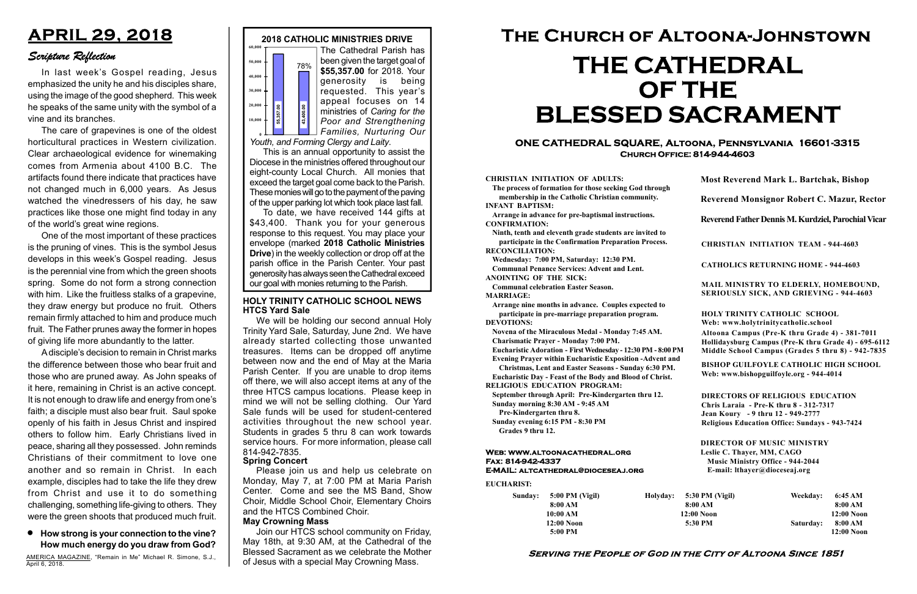#### Serving the People of God in the City of Altoona Since 1851

Sunday: 5:00 PM (Vigil) 8:00 AM 10:00 AM 12:00 Noon 5:00 PM

Holyday:

#### Web: www.altoonacathedral.org Fax: 814-942-4337 E-MAIL: altcathedral@dioceseaj.org

EUCHARIST:

#### CHRISTIAN INITIATION OF ADULTS:

The process of formation for those seeking God through membership in the Catholic Christian community. INFANT BAPTISM:

Arrange in advance for pre-baptismal instructions. CONFIRMATION:

Ninth, tenth and eleventh grade students are invited to participate in the Confirmation Preparation Process. RECONCILIATION:

Wednesday: 7:00 PM, Saturday: 12:30 PM. Communal Penance Services: Advent and Lent.

ANOINTING OF THE SICK:

Communal celebration Easter Season. MARRIAGE:

Arrange nine months in advance. Couples expected to participate in pre-marriage preparation program. DEVOTIONS:

Novena of the Miraculous Medal - Monday 7:45 AM.

Charismatic Prayer - Monday 7:00 PM.

Eucharistic Adoration - First Wednesday - 12:30 PM - 8:00 PM Evening Prayer within Eucharistic Exposition -Advent and

Christmas, Lent and Easter Seasons - Sunday 6:30 PM.

|                       | <b>Most Reverend Mark L. Bartchak, Bishop</b><br>Reverend Monsignor Robert C. Mazur, Rector                                                                                     |           |                         |  |
|-----------------------|---------------------------------------------------------------------------------------------------------------------------------------------------------------------------------|-----------|-------------------------|--|
|                       |                                                                                                                                                                                 |           |                         |  |
|                       | Reverend Father Dennis M. Kurdziel, Parochial Vicar                                                                                                                             |           |                         |  |
|                       | <b>CHRISTIAN INITIATION TEAM - 944-4603</b>                                                                                                                                     |           |                         |  |
|                       | <b>CATHOLICS RETURNING HOME - 944-4603</b>                                                                                                                                      |           |                         |  |
|                       | MAIL MINISTRY TO ELDERLY, HOMEBOUND,<br>SERIOUSLY SICK, AND GRIEVING - 944-4603                                                                                                 |           |                         |  |
|                       | <b>HOLY TRINITY CATHOLIC SCHOOL</b><br>Web: www.holytrinitycatholic.school                                                                                                      |           |                         |  |
| М                     | Altoona Campus (Pre-K thru Grade 4) - 381-7011<br>Hollidaysburg Campus (Pre-K thru Grade 4) - 695-6112<br>Middle School Campus (Grades 5 thru 8) - 942-7835                     |           |                         |  |
| ł                     | <b>BISHOP GUILFOYLE CATHOLIC HIGH SCHOOL</b><br>Web: www.bishopguilfoyle.org - 944-4014                                                                                         |           |                         |  |
|                       | <b>DIRECTORS OF RELIGIOUS EDUCATION</b><br>Chris Laraia - Pre-K thru 8 - 312-7317<br>Jean Koury - 9 thru 12 - 949-2777<br><b>Religious Education Office: Sundays - 943-7424</b> |           |                         |  |
|                       | <b>DIRECTOR OF MUSIC MINISTRY</b><br>Leslie C. Thayer, MM, CAGO<br><b>Music Ministry Office - 944-2044</b><br>E-mail: lthayer@dioceseaj.org                                     |           |                         |  |
| 5:30 PM (Vigil)       |                                                                                                                                                                                 | Weekday:  | 6:45 AM                 |  |
| 8:00 AM<br>12:00 Noon |                                                                                                                                                                                 |           | 8:00 AM<br>12:00 Noon   |  |
| 5:30 PM               |                                                                                                                                                                                 | Saturday: | 8:00 AM<br>$12:00$ Noon |  |
|                       |                                                                                                                                                                                 |           |                         |  |

Eucharistic Day - Feast of the Body and Blood of Christ.

RELIGIOUS EDUCATION PROGRAM:

September through April: Pre-Kindergarten thru 12. Sunday morning 8:30 AM - 9:45 AM



Pre-Kindergarten thru 8.

Sunday evening 6:15 PM - 8:30 PM Grades 9 thru 12.

To date, we have received 144 gifts at \$43,400. Thank you for your generous response to this request. You may place your envelope (marked 2018 Catholic Ministries Drive) in the weekly collection or drop off at the parish office in the Parish Center. Your past generosity has always seen the Cathedral exceed  $\begin{bmatrix}\n\text{F}_{\text{S}}\n\text{F}_{\text{S}}\n\end{bmatrix}\n\begin{bmatrix}\n\text{F}_{\text{S}}\n\begin{bmatrix}\n\text{F}_{\text{S}}\n\begin{bmatrix}\n\text{F}_{\text{S}}\n\end{bmatrix}\n\end{bmatrix}\n\begin{bmatrix}\n\text{F} & \text{matrix}\n\end{bmatrix}\n\begin{bmatrix}\n\text{Fourier} \\
\text{Fourier} \\
\text{Fourier} \\
\text{Fourier} \\
\text{Fourier} \\
\text{Fourier} \\
\text{Fourier} \\
\text{Fourier} \\
\text{Fourier} \\
\text{Fourier} \\
\text{Fourier}$ 

#### ONE CATHEDRAL SQUARE, Altoona, Pennsylvania 16601-3315 Church Office: 814-944-4603

# The Church of Altoona-Johnstown THE CATHEDRAL OF THE BLESSED SACRAMENT

Youth, and Forming Clergy and Laity.

This is an annual opportunity to assist the Diocese in the ministries offered throughout our eight-county Local Church. All monies that exceed the target goal come back to the Parish. These monies will go to the payment of the paving of the upper parking lot which took place last fall.

## APRIL 29, 2018

### Scripture Reflection

How strong is your connection to the vine? How much energy do you draw from God?

In last week's Gospel reading, Jesus emphasized the unity he and his disciples share, using the image of the good shepherd. This week he speaks of the same unity with the symbol of a vine and its branches.

The care of grapevines is one of the oldest horticultural practices in Western civilization. Clear archaeological evidence for winemaking comes from Armenia about 4100 B.C. The artifacts found there indicate that practices have not changed much in 6,000 years. As Jesus watched the vinedressers of his day, he saw practices like those one might find today in any of the world's great wine regions.

#### HOLY TRINITY CATHOLIC SCHOOL NEWS HTCS Yard Sale

One of the most important of these practices is the pruning of vines. This is the symbol Jesus develops in this week's Gospel reading. Jesus is the perennial vine from which the green shoots spring. Some do not form a strong connection with him. Like the fruitless stalks of a grapevine, they draw energy but produce no fruit. Others remain firmly attached to him and produce much fruit. The Father prunes away the former in hopes of giving life more abundantly to the latter.

A disciple's decision to remain in Christ marks the difference between those who bear fruit and those who are pruned away. As John speaks of it here, remaining in Christ is an active concept. It is not enough to draw life and energy from one's faith; a disciple must also bear fruit. Saul spoke openly of his faith in Jesus Christ and inspired others to follow him. Early Christians lived in peace, sharing all they possessed. John reminds Christians of their commitment to love one another and so remain in Christ. In each example, disciples had to take the life they drew from Christ and use it to do something challenging, something life-giving to others. They were the green shoots that produced much fruit.

AMERICA MAGAZINE, "Remain in Me" Michael R. Simone, S.J., April 6, 2018.

#### Spring Concert

Please join us and help us celebrate on Monday, May 7, at 7:00 PM at Maria Parish Center. Come and see the MS Band, Show Choir, Middle School Choir, Elementary Choirs and the HTCS Combined Choir.

#### May Crowning Mass

Join our HTCS school community on Friday, May 18th, at 9:30 AM, at the Cathedral of the Blessed Sacrament as we celebrate the Mother of Jesus with a special May Crowning Mass.

We will be holding our second annual Holy Trinity Yard Sale, Saturday, June 2nd. We have already started collecting those unwanted treasures. Items can be dropped off anytime between now and the end of May at the Maria Parish Center. If you are unable to drop items off there, we will also accept items at any of the three HTCS campus locations. Please keep in mind we will not be selling clothing. Our Yard Sale funds will be used for student-centered activities throughout the new school year. Students in grades 5 thru 8 can work towards service hours. For more information, please call 814-942-7835.